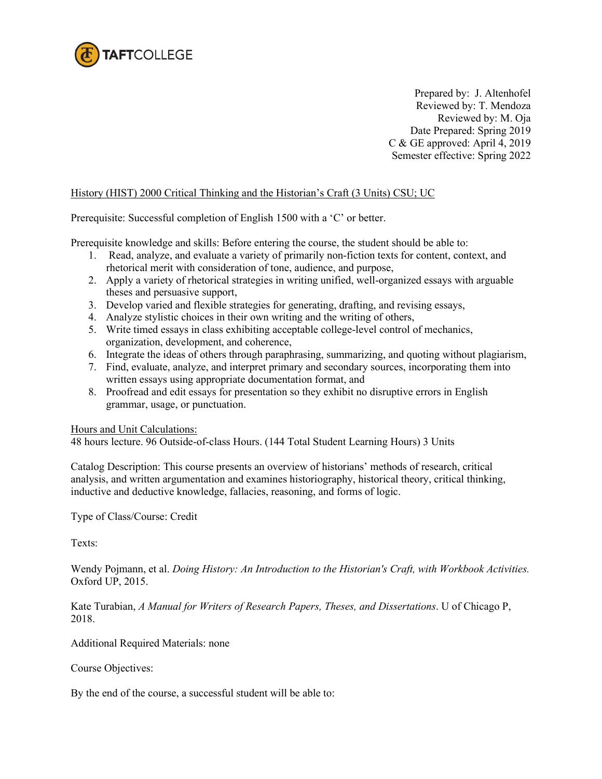

Prepared by: J. Altenhofel Reviewed by: T. Mendoza Reviewed by: M. Oja Date Prepared: Spring 2019 C & GE approved: April 4, 2019 Semester effective: Spring 2022

## History (HIST) 2000 Critical Thinking and the Historian's Craft (3 Units) CSU; UC

Prerequisite: Successful completion of English 1500 with a 'C' or better.

Prerequisite knowledge and skills: Before entering the course, the student should be able to:

- 1. Read, analyze, and evaluate a variety of primarily non-fiction texts for content, context, and rhetorical merit with consideration of tone, audience, and purpose,
- 2. Apply a variety of rhetorical strategies in writing unified, well-organized essays with arguable theses and persuasive support,
- 3. Develop varied and flexible strategies for generating, drafting, and revising essays,
- 4. Analyze stylistic choices in their own writing and the writing of others,
- 5. Write timed essays in class exhibiting acceptable college-level control of mechanics, organization, development, and coherence,
- 6. Integrate the ideas of others through paraphrasing, summarizing, and quoting without plagiarism,
- 7. Find, evaluate, analyze, and interpret primary and secondary sources, incorporating them into written essays using appropriate documentation format, and
- 8. Proofread and edit essays for presentation so they exhibit no disruptive errors in English grammar, usage, or punctuation.

## Hours and Unit Calculations:

48 hours lecture. 96 Outside-of-class Hours. (144 Total Student Learning Hours) 3 Units

Catalog Description: This course presents an overview of historians' methods of research, critical analysis, and written argumentation and examines historiography, historical theory, critical thinking, inductive and deductive knowledge, fallacies, reasoning, and forms of logic.

Type of Class/Course: Credit

Texts:

Wendy Pojmann, et al. *Doing History: An Introduction to the Historian's Craft, with Workbook Activities.*  Oxford UP, 2015.

Kate Turabian, *A Manual for Writers of Research Papers, Theses, and Dissertations*. U of Chicago P, 2018.

Additional Required Materials: none

Course Objectives:

By the end of the course, a successful student will be able to: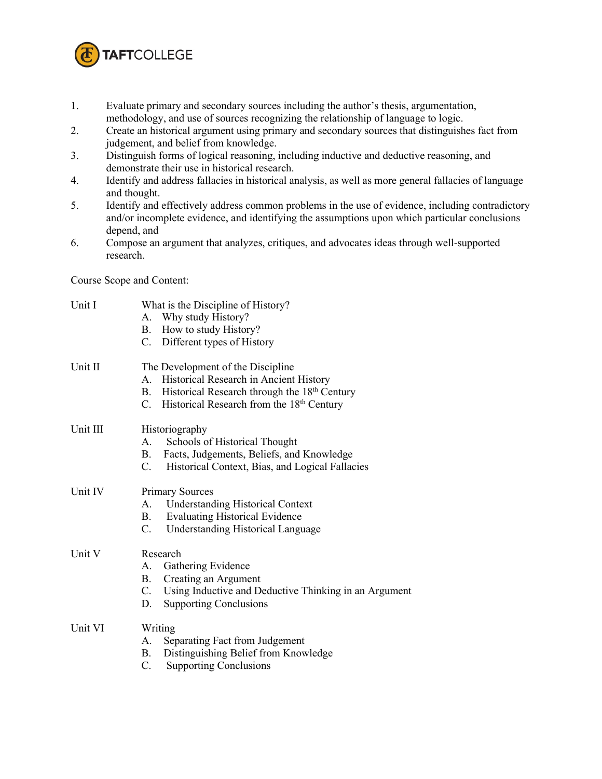

- 1. Evaluate primary and secondary sources including the author's thesis, argumentation, methodology, and use of sources recognizing the relationship of language to logic.
- 2. Create an historical argument using primary and secondary sources that distinguishes fact from judgement, and belief from knowledge.
- 3. Distinguish forms of logical reasoning, including inductive and deductive reasoning, and demonstrate their use in historical research.
- 4. Identify and address fallacies in historical analysis, as well as more general fallacies of language and thought.
- 5. Identify and effectively address common problems in the use of evidence, including contradictory and/or incomplete evidence, and identifying the assumptions upon which particular conclusions depend, and
- 6. Compose an argument that analyzes, critiques, and advocates ideas through well-supported research.

Course Scope and Content:

| Unit I   | What is the Discipline of History?<br>A. Why study History?<br>B. How to study History?<br>C. Different types of History                                                                      |
|----------|-----------------------------------------------------------------------------------------------------------------------------------------------------------------------------------------------|
| Unit II  | The Development of the Discipline<br>A. Historical Research in Ancient History<br>B. Historical Research through the 18 <sup>th</sup> Century<br>C. Historical Research from the 18th Century |
| Unit III | Historiography<br>Schools of Historical Thought<br>A.<br>B. Facts, Judgements, Beliefs, and Knowledge<br>Historical Context, Bias, and Logical Fallacies<br>C.                                |
| Unit IV  | <b>Primary Sources</b><br><b>Understanding Historical Context</b><br>А.<br><b>Evaluating Historical Evidence</b><br><b>B.</b><br><b>Understanding Historical Language</b><br>C.               |
| Unit V   | Research<br>Gathering Evidence<br>А.<br>B. Creating an Argument<br>C. Using Inductive and Deductive Thinking in an Argument<br><b>Supporting Conclusions</b><br>D.                            |
| Unit VI  | Writing<br>Separating Fact from Judgement<br>А.<br>B. Distinguishing Belief from Knowledge<br><b>Supporting Conclusions</b><br>C.                                                             |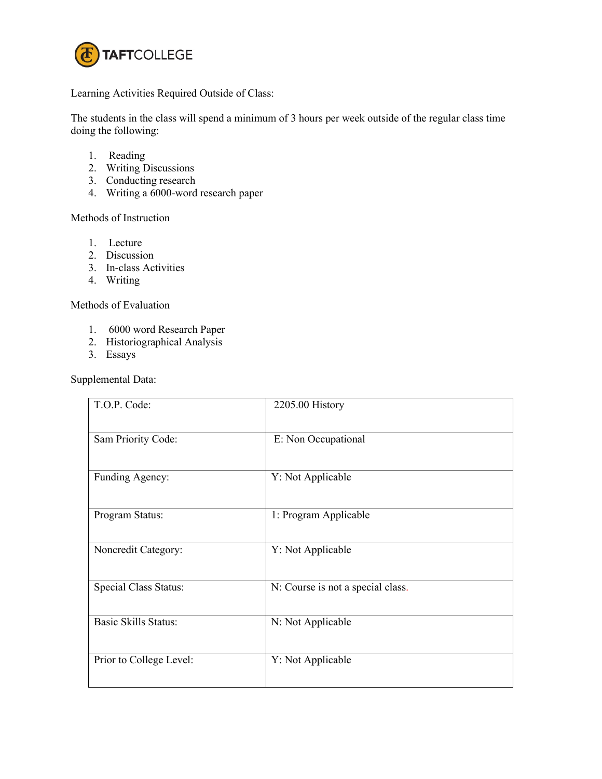

Learning Activities Required Outside of Class:

The students in the class will spend a minimum of 3 hours per week outside of the regular class time doing the following:

- 1. Reading
- 2. Writing Discussions
- 3. Conducting research
- 4. Writing a 6000-word research paper

## Methods of Instruction

- 1. Lecture
- 2. Discussion
- 3. In-class Activities
- 4. Writing

## Methods of Evaluation

- 1. 6000 word Research Paper
- 2. Historiographical Analysis
- 3. Essays

Supplemental Data:

| T.O.P. Code:                | 2205.00 History                   |
|-----------------------------|-----------------------------------|
| Sam Priority Code:          | E: Non Occupational               |
| Funding Agency:             | Y: Not Applicable                 |
| Program Status:             | 1: Program Applicable             |
| Noncredit Category:         | Y: Not Applicable                 |
| Special Class Status:       | N: Course is not a special class. |
| <b>Basic Skills Status:</b> | N: Not Applicable                 |
| Prior to College Level:     | Y: Not Applicable                 |